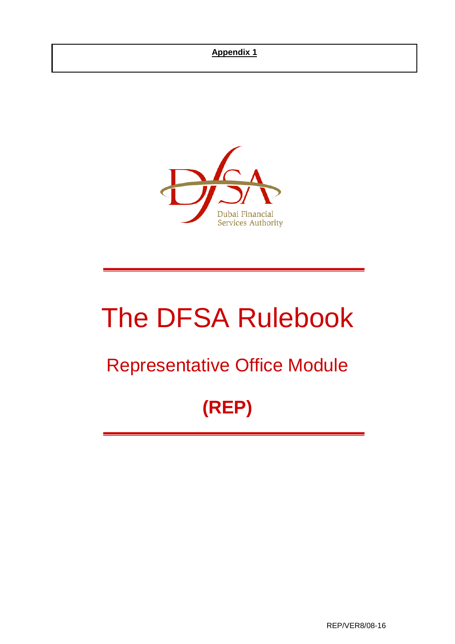

# The DFSA Rulebook

## Representative Office Module

## **(REP)**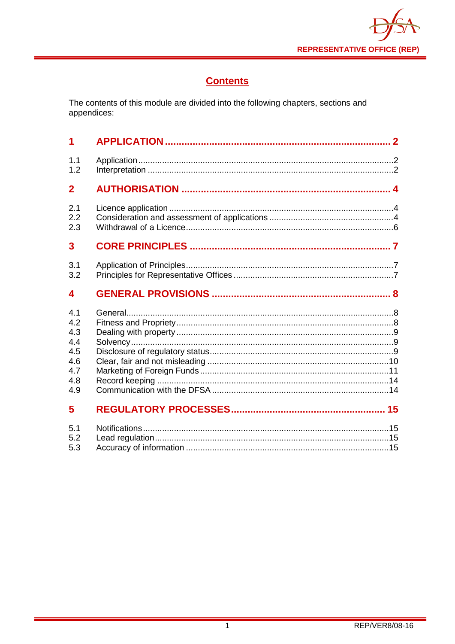

## **Contents**

The contents of this module are divided into the following chapters, sections and appendices:

| 1                                                  |  |
|----------------------------------------------------|--|
| 1.1<br>1.2                                         |  |
| $\overline{2}$                                     |  |
| 2.1<br>2.2<br>2.3                                  |  |
| 3                                                  |  |
| 3.1<br>3.2                                         |  |
| 4                                                  |  |
|                                                    |  |
| 4.1<br>4.9                                         |  |
| 4.2<br>4.3<br>4.4<br>4.5<br>4.6<br>4.7<br>4.8<br>5 |  |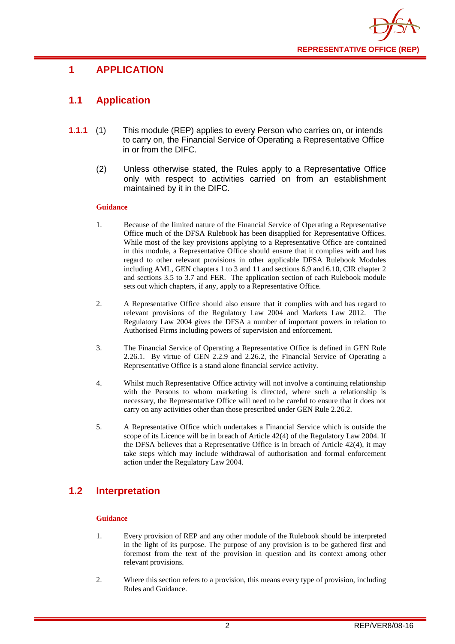

## <span id="page-2-0"></span>**1 APPLICATION**

## <span id="page-2-1"></span>**1.1 Application**

- **1.1.1** (1) This module (REP) applies to every Person who carries on, or intends to carry on, the Financial Service of Operating a Representative Office in or from the DIFC.
	- (2) Unless otherwise stated, the Rules apply to a Representative Office only with respect to activities carried on from an establishment maintained by it in the DIFC.

#### **Guidance**

- 1. Because of the limited nature of the Financial Service of Operating a Representative Office much of the DFSA Rulebook has been disapplied for Representative Offices. While most of the key provisions applying to a Representative Office are contained in this module, a Representative Office should ensure that it complies with and has regard to other relevant provisions in other applicable DFSA Rulebook Modules including AML, GEN chapters 1 to 3 and 11 and sections 6.9 and 6.10, CIR chapter 2 and sections 3.5 to 3.7 and FER. The application section of each Rulebook module sets out which chapters, if any, apply to a Representative Office.
- 2. A Representative Office should also ensure that it complies with and has regard to relevant provisions of the Regulatory Law 2004 and Markets Law 2012. The Regulatory Law 2004 gives the DFSA a number of important powers in relation to Authorised Firms including powers of supervision and enforcement.
- 3. The Financial Service of Operating a Representative Office is defined in GEN Rule 2.26.1. By virtue of GEN 2.2.9 and 2.26.2, the Financial Service of Operating a Representative Office is a stand alone financial service activity.
- 4. Whilst much Representative Office activity will not involve a continuing relationship with the Persons to whom marketing is directed, where such a relationship is necessary, the Representative Office will need to be careful to ensure that it does not carry on any activities other than those prescribed under GEN Rule 2.26.2.
- 5. A Representative Office which undertakes a Financial Service which is outside the scope of its Licence will be in breach of Article 42(4) of the Regulatory Law 2004. If the DFSA believes that a Representative Office is in breach of Article 42(4), it may take steps which may include withdrawal of authorisation and formal enforcement action under the Regulatory Law 2004.

## <span id="page-2-2"></span>**1.2 Interpretation**

#### **Guidance**

- 1. Every provision of REP and any other module of the Rulebook should be interpreted in the light of its purpose. The purpose of any provision is to be gathered first and foremost from the text of the provision in question and its context among other relevant provisions.
- 2. Where this section refers to a provision, this means every type of provision, including Rules and Guidance.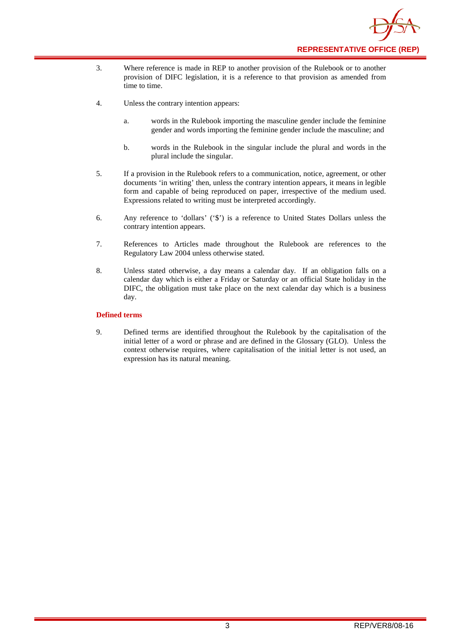

- 3. Where reference is made in REP to another provision of the Rulebook or to another provision of DIFC legislation, it is a reference to that provision as amended from time to time.
- 4. Unless the contrary intention appears:
	- a. words in the Rulebook importing the masculine gender include the feminine gender and words importing the feminine gender include the masculine; and
	- b. words in the Rulebook in the singular include the plural and words in the plural include the singular.
- 5. If a provision in the Rulebook refers to a communication, notice, agreement, or other documents 'in writing' then, unless the contrary intention appears, it means in legible form and capable of being reproduced on paper, irrespective of the medium used. Expressions related to writing must be interpreted accordingly.
- 6. Any reference to 'dollars' ('\$') is a reference to United States Dollars unless the contrary intention appears.
- 7. References to Articles made throughout the Rulebook are references to the Regulatory Law 2004 unless otherwise stated.
- 8. Unless stated otherwise, a day means a calendar day. If an obligation falls on a calendar day which is either a Friday or Saturday or an official State holiday in the DIFC, the obligation must take place on the next calendar day which is a business day.

#### **Defined terms**

9. Defined terms are identified throughout the Rulebook by the capitalisation of the initial letter of a word or phrase and are defined in the Glossary (GLO). Unless the context otherwise requires, where capitalisation of the initial letter is not used, an expression has its natural meaning.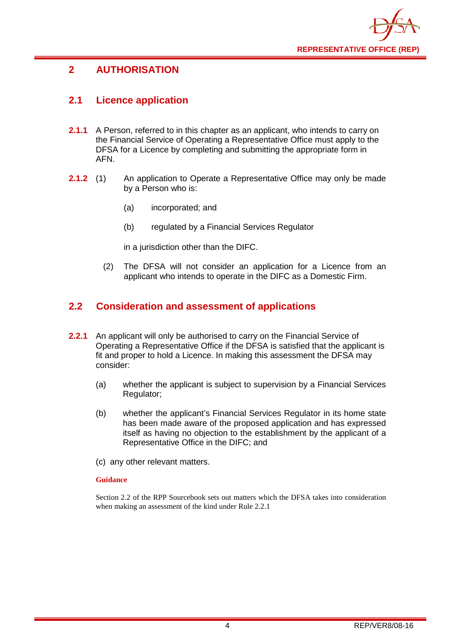

## <span id="page-4-0"></span>**2 AUTHORISATION**

## <span id="page-4-1"></span>**2.1 Licence application**

- **2.1.1** A Person, referred to in this chapter as an applicant, who intends to carry on the Financial Service of Operating a Representative Office must apply to the DFSA for a Licence by completing and submitting the appropriate form in AFN.
- **2.1.2** (1) An application to Operate a Representative Office may only be made by a Person who is:
	- (a) incorporated; and
	- (b) regulated by a Financial Services Regulator

in a jurisdiction other than the DIFC.

(2) The DFSA will not consider an application for a Licence from an applicant who intends to operate in the DIFC as a Domestic Firm.

### <span id="page-4-2"></span>**2.2 Consideration and assessment of applications**

- **2.2.1** An applicant will only be authorised to carry on the Financial Service of Operating a Representative Office if the DFSA is satisfied that the applicant is fit and proper to hold a Licence. In making this assessment the DFSA may consider:
	- (a) whether the applicant is subject to supervision by a Financial Services Regulator;
	- (b) whether the applicant's Financial Services Regulator in its home state has been made aware of the proposed application and has expressed itself as having no objection to the establishment by the applicant of a Representative Office in the DIFC; and
	- (c) any other relevant matters.

#### **Guidance**

Section 2.2 of the RPP Sourcebook sets out matters which the DFSA takes into consideration when making an assessment of the kind under Rule 2.2.1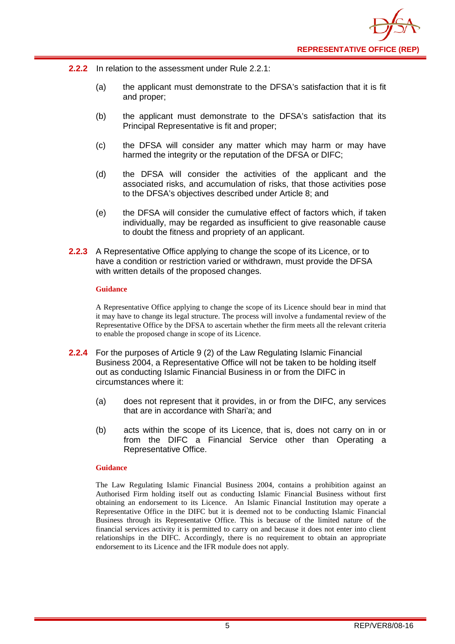

- **2.2.2** In relation to the assessment under Rule 2.2.1:
	- (a) the applicant must demonstrate to the DFSA's satisfaction that it is fit and proper;
	- (b) the applicant must demonstrate to the DFSA's satisfaction that its Principal Representative is fit and proper;
	- (c) the DFSA will consider any matter which may harm or may have harmed the integrity or the reputation of the DFSA or DIFC;
	- (d) the DFSA will consider the activities of the applicant and the associated risks, and accumulation of risks, that those activities pose to the DFSA's objectives described under Article 8; and
	- (e) the DFSA will consider the cumulative effect of factors which, if taken individually, may be regarded as insufficient to give reasonable cause to doubt the fitness and propriety of an applicant.
- **2.2.3** A Representative Office applying to change the scope of its Licence, or to have a condition or restriction varied or withdrawn, must provide the DFSA with written details of the proposed changes.

#### **Guidance**

A Representative Office applying to change the scope of its Licence should bear in mind that it may have to change its legal structure. The process will involve a fundamental review of the Representative Office by the DFSA to ascertain whether the firm meets all the relevant criteria to enable the proposed change in scope of its Licence.

- **2.2.4** For the purposes of Article 9 (2) of the Law Regulating Islamic Financial Business 2004, a Representative Office will not be taken to be holding itself out as conducting Islamic Financial Business in or from the DIFC in circumstances where it:
	- (a) does not represent that it provides, in or from the DIFC, any services that are in accordance with Shari'a; and
	- (b) acts within the scope of its Licence, that is, does not carry on in or from the DIFC a Financial Service other than Operating a Representative Office.

#### **Guidance**

The Law Regulating Islamic Financial Business 2004, contains a prohibition against an Authorised Firm holding itself out as conducting Islamic Financial Business without first obtaining an endorsement to its Licence. An Islamic Financial Institution may operate a Representative Office in the DIFC but it is deemed not to be conducting Islamic Financial Business through its Representative Office. This is because of the limited nature of the financial services activity it is permitted to carry on and because it does not enter into client relationships in the DIFC. Accordingly, there is no requirement to obtain an appropriate endorsement to its Licence and the IFR module does not apply.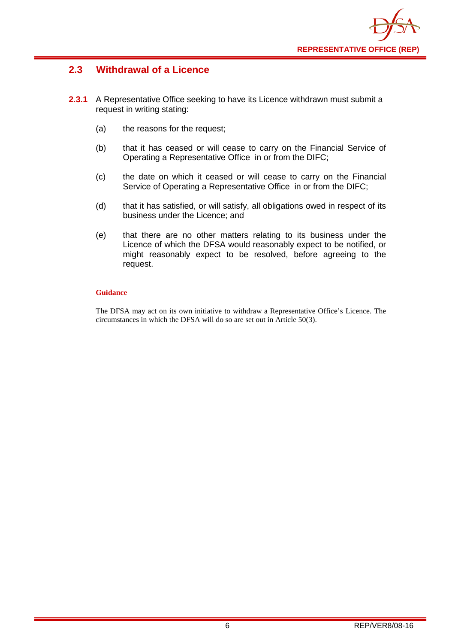

## <span id="page-6-0"></span>**2.3 Withdrawal of a Licence**

- **2.3.1** A Representative Office seeking to have its Licence withdrawn must submit a request in writing stating:
	- (a) the reasons for the request;
	- (b) that it has ceased or will cease to carry on the Financial Service of Operating a Representative Office in or from the DIFC;
	- (c) the date on which it ceased or will cease to carry on the Financial Service of Operating a Representative Office in or from the DIFC;
	- (d) that it has satisfied, or will satisfy, all obligations owed in respect of its business under the Licence; and
	- (e) that there are no other matters relating to its business under the Licence of which the DFSA would reasonably expect to be notified, or might reasonably expect to be resolved, before agreeing to the request.

#### **Guidance**

The DFSA may act on its own initiative to withdraw a Representative Office's Licence. The circumstances in which the DFSA will do so are set out in Article 50(3).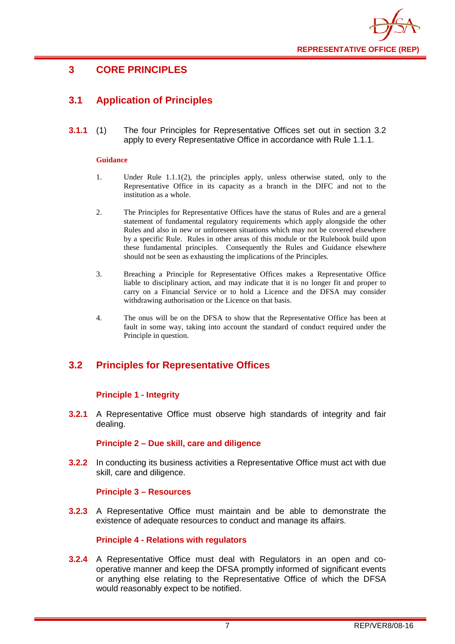

## <span id="page-7-0"></span>**3 CORE PRINCIPLES**

## <span id="page-7-1"></span>**3.1 Application of Principles**

**3.1.1** (1) The four Principles for Representative Offices set out in section 3.2 apply to every Representative Office in accordance with Rule 1.1.1.

#### **Guidance**

- 1. Under Rule 1.1.1(2), the principles apply, unless otherwise stated, only to the Representative Office in its capacity as a branch in the DIFC and not to the institution as a whole.
- 2. The Principles for Representative Offices have the status of Rules and are a general statement of fundamental regulatory requirements which apply alongside the other Rules and also in new or unforeseen situations which may not be covered elsewhere by a specific Rule. Rules in other areas of this module or the Rulebook build upon these fundamental principles. Consequently the Rules and Guidance elsewhere should not be seen as exhausting the implications of the Principles.
- 3. Breaching a Principle for Representative Offices makes a Representative Office liable to disciplinary action, and may indicate that it is no longer fit and proper to carry on a Financial Service or to hold a Licence and the DFSA may consider withdrawing authorisation or the Licence on that basis.
- 4. The onus will be on the DFSA to show that the Representative Office has been at fault in some way, taking into account the standard of conduct required under the Principle in question.

## <span id="page-7-2"></span>**3.2 Principles for Representative Offices**

#### **Principle 1 - Integrity**

**3.2.1** A Representative Office must observe high standards of integrity and fair dealing.

#### **Principle 2 – Due skill, care and diligence**

**3.2.2** In conducting its business activities a Representative Office must act with due skill, care and diligence.

#### **Principle 3 – Resources**

**3.2.3** A Representative Office must maintain and be able to demonstrate the existence of adequate resources to conduct and manage its affairs.

#### **Principle 4 - Relations with regulators**

**3.2.4** A Representative Office must deal with Regulators in an open and cooperative manner and keep the DFSA promptly informed of significant events or anything else relating to the Representative Office of which the DFSA would reasonably expect to be notified.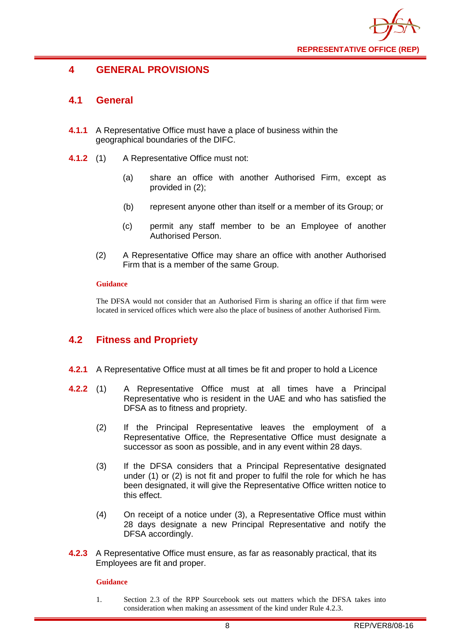

## <span id="page-8-0"></span>**4 GENERAL PROVISIONS**

## <span id="page-8-1"></span>**4.1 General**

- **4.1.1** A Representative Office must have a place of business within the geographical boundaries of the DIFC.
- **4.1.2** (1) A Representative Office must not:
	- (a) share an office with another Authorised Firm, except as provided in (2);
	- (b) represent anyone other than itself or a member of its Group; or
	- (c) permit any staff member to be an Employee of another Authorised Person.
	- (2) A Representative Office may share an office with another Authorised Firm that is a member of the same Group.

#### **Guidance**

The DFSA would not consider that an Authorised Firm is sharing an office if that firm were located in serviced offices which were also the place of business of another Authorised Firm.

## <span id="page-8-2"></span>**4.2 Fitness and Propriety**

- **4.2.1** A Representative Office must at all times be fit and proper to hold a Licence
- **4.2.2** (1) A Representative Office must at all times have a Principal Representative who is resident in the UAE and who has satisfied the DFSA as to fitness and propriety.
	- (2) If the Principal Representative leaves the employment of a Representative Office, the Representative Office must designate a successor as soon as possible, and in any event within 28 days.
	- (3) If the DFSA considers that a Principal Representative designated under (1) or (2) is not fit and proper to fulfil the role for which he has been designated, it will give the Representative Office written notice to this effect.
	- (4) On receipt of a notice under (3), a Representative Office must within 28 days designate a new Principal Representative and notify the DFSA accordingly.
- **4.2.3** A Representative Office must ensure, as far as reasonably practical, that its Employees are fit and proper.

#### **Guidance**

1. Section 2.3 of the RPP Sourcebook sets out matters which the DFSA takes into consideration when making an assessment of the kind under Rule 4.2.3.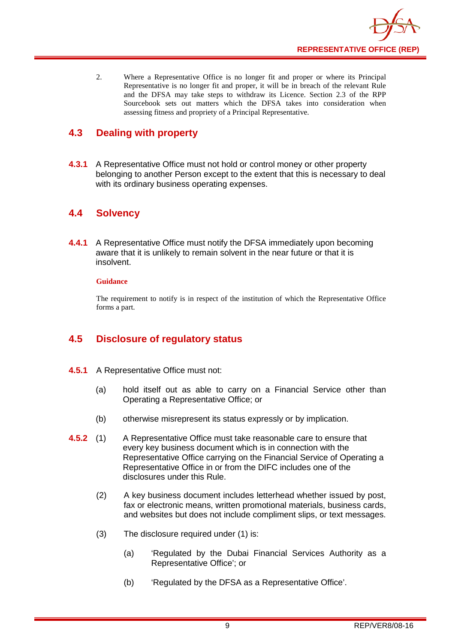

2. Where a Representative Office is no longer fit and proper or where its Principal Representative is no longer fit and proper, it will be in breach of the relevant Rule and the DFSA may take steps to withdraw its Licence. Section 2.3 of the RPP Sourcebook sets out matters which the DFSA takes into consideration when assessing fitness and propriety of a Principal Representative.

## <span id="page-9-0"></span>**4.3 Dealing with property**

**4.3.1** A Representative Office must not hold or control money or other property belonging to another Person except to the extent that this is necessary to deal with its ordinary business operating expenses.

## <span id="page-9-1"></span>**4.4 Solvency**

**4.4.1** A Representative Office must notify the DFSA immediately upon becoming aware that it is unlikely to remain solvent in the near future or that it is insolvent.

#### **Guidance**

The requirement to notify is in respect of the institution of which the Representative Office forms a part.

## <span id="page-9-2"></span>**4.5 Disclosure of regulatory status**

- **4.5.1** A Representative Office must not:
	- (a) hold itself out as able to carry on a Financial Service other than Operating a Representative Office; or
	- (b) otherwise misrepresent its status expressly or by implication.
- **4.5.2** (1) A Representative Office must take reasonable care to ensure that every key business document which is in connection with the Representative Office carrying on the Financial Service of Operating a Representative Office in or from the DIFC includes one of the disclosures under this Rule.
	- (2) A key business document includes letterhead whether issued by post, fax or electronic means, written promotional materials, business cards, and websites but does not include compliment slips, or text messages.
	- (3) The disclosure required under (1) is:
		- (a) 'Regulated by the Dubai Financial Services Authority as a Representative Office'; or
		- (b) 'Regulated by the DFSA as a Representative Office'.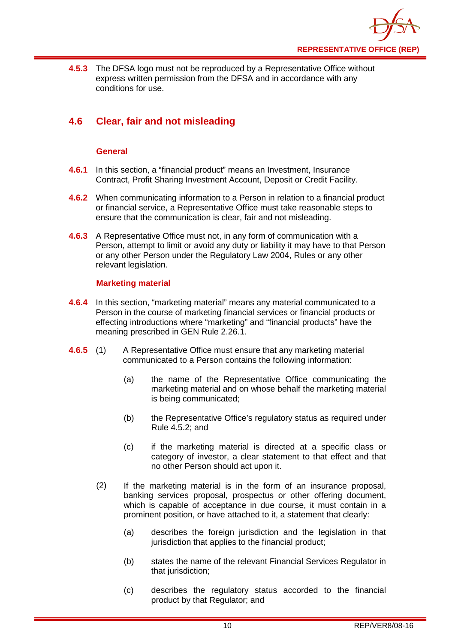

**4.5.3** The DFSA logo must not be reproduced by a Representative Office without express written permission from the DFSA and in accordance with any conditions for use.

## <span id="page-10-0"></span>**4.6 Clear, fair and not misleading**

#### **General**

- **4.6.1** In this section, a "financial product" means an Investment, Insurance Contract, Profit Sharing Investment Account, Deposit or Credit Facility.
- **4.6.2** When communicating information to a Person in relation to a financial product or financial service, a Representative Office must take reasonable steps to ensure that the communication is clear, fair and not misleading.
- **4.6.3** A Representative Office must not, in any form of communication with a Person, attempt to limit or avoid any duty or liability it may have to that Person or any other Person under the Regulatory Law 2004, Rules or any other relevant legislation.

#### **Marketing material**

- **4.6.4** In this section, "marketing material" means any material communicated to a Person in the course of marketing financial services or financial products or effecting introductions where "marketing" and "financial products" have the meaning prescribed in GEN Rule 2.26.1.
- **4.6.5** (1) A Representative Office must ensure that any marketing material communicated to a Person contains the following information:
	- (a) the name of the Representative Office communicating the marketing material and on whose behalf the marketing material is being communicated;
	- (b) the Representative Office's regulatory status as required under Rule 4.5.2; and
	- (c) if the marketing material is directed at a specific class or category of investor, a clear statement to that effect and that no other Person should act upon it.
	- (2) If the marketing material is in the form of an insurance proposal, banking services proposal, prospectus or other offering document, which is capable of acceptance in due course, it must contain in a prominent position, or have attached to it, a statement that clearly:
		- (a) describes the foreign jurisdiction and the legislation in that jurisdiction that applies to the financial product;
		- (b) states the name of the relevant Financial Services Regulator in that jurisdiction;
		- (c) describes the regulatory status accorded to the financial product by that Regulator; and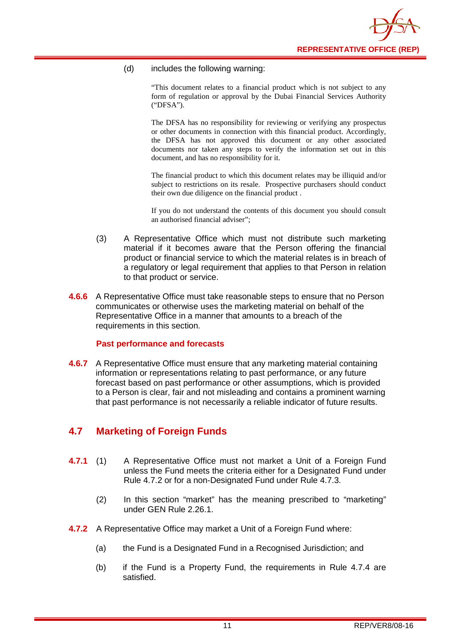

#### (d) includes the following warning:

"This document relates to a financial product which is not subject to any form of regulation or approval by the Dubai Financial Services Authority ("DFSA").

The DFSA has no responsibility for reviewing or verifying any prospectus or other documents in connection with this financial product. Accordingly, the DFSA has not approved this document or any other associated documents nor taken any steps to verify the information set out in this document, and has no responsibility for it.

The financial product to which this document relates may be illiquid and/or subject to restrictions on its resale. Prospective purchasers should conduct their own due diligence on the financial product .

If you do not understand the contents of this document you should consult an authorised financial adviser";

- (3) A Representative Office which must not distribute such marketing material if it becomes aware that the Person offering the financial product or financial service to which the material relates is in breach of a regulatory or legal requirement that applies to that Person in relation to that product or service.
- **4.6.6** A Representative Office must take reasonable steps to ensure that no Person communicates or otherwise uses the marketing material on behalf of the Representative Office in a manner that amounts to a breach of the requirements in this section.

#### **Past performance and forecasts**

**4.6.7** A Representative Office must ensure that any marketing material containing information or representations relating to past performance, or any future forecast based on past performance or other assumptions, which is provided to a Person is clear, fair and not misleading and contains a prominent warning that past performance is not necessarily a reliable indicator of future results.

### <span id="page-11-0"></span>**4.7 Marketing of Foreign Funds**

- **4.7.1** (1) A Representative Office must not market a Unit of a Foreign Fund unless the Fund meets the criteria either for a Designated Fund under Rule 4.7.2 or for a non-Designated Fund under Rule 4.7.3.
	- (2) In this section "market" has the meaning prescribed to "marketing" under GEN Rule 2.26.1.
- **4.7.2** A Representative Office may market a Unit of a Foreign Fund where:
	- (a) the Fund is a Designated Fund in a Recognised Jurisdiction; and
	- (b) if the Fund is a Property Fund, the requirements in Rule 4.7.4 are satisfied.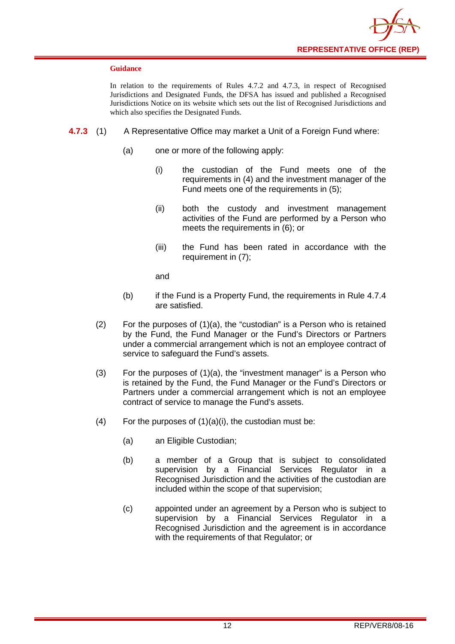

#### **Guidance**

In relation to the requirements of Rules 4.7.2 and 4.7.3, in respect of Recognised Jurisdictions and Designated Funds, the DFSA has issued and published a Recognised Jurisdictions Notice on its website which sets out the list of Recognised Jurisdictions and which also specifies the Designated Funds.

- **4.7.3** (1) A Representative Office may market a Unit of a Foreign Fund where:
	- (a) one or more of the following apply:
		- (i) the custodian of the Fund meets one of the requirements in (4) and the investment manager of the Fund meets one of the requirements in (5);
		- (ii) both the custody and investment management activities of the Fund are performed by a Person who meets the requirements in (6); or
		- (iii) the Fund has been rated in accordance with the requirement in (7);

and

- (b) if the Fund is a Property Fund, the requirements in Rule 4.7.4 are satisfied.
- (2) For the purposes of (1)(a), the "custodian" is a Person who is retained by the Fund, the Fund Manager or the Fund's Directors or Partners under a commercial arrangement which is not an employee contract of service to safeguard the Fund's assets.
- (3) For the purposes of (1)(a), the "investment manager" is a Person who is retained by the Fund, the Fund Manager or the Fund's Directors or Partners under a commercial arrangement which is not an employee contract of service to manage the Fund's assets.
- (4) For the purposes of  $(1)(a)(i)$ , the custodian must be:
	- (a) an Eligible Custodian;
	- (b) a member of a Group that is subject to consolidated supervision by a Financial Services Regulator in a Recognised Jurisdiction and the activities of the custodian are included within the scope of that supervision;
	- (c) appointed under an agreement by a Person who is subject to supervision by a Financial Services Regulator in a Recognised Jurisdiction and the agreement is in accordance with the requirements of that Regulator; or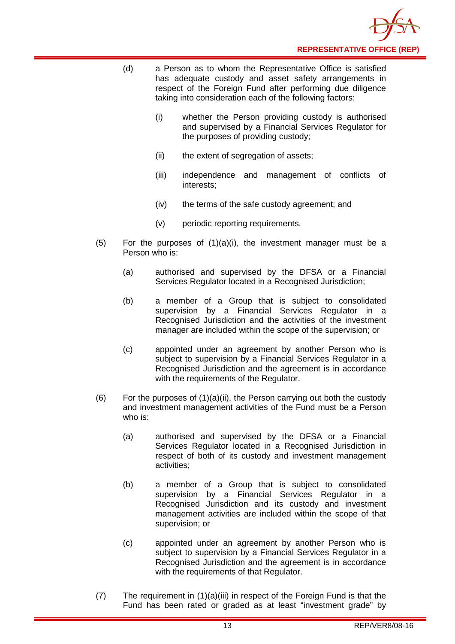

- (d) a Person as to whom the Representative Office is satisfied has adequate custody and asset safety arrangements in respect of the Foreign Fund after performing due diligence taking into consideration each of the following factors:
	- (i) whether the Person providing custody is authorised and supervised by a Financial Services Regulator for the purposes of providing custody;
	- (ii) the extent of segregation of assets;
	- (iii) independence and management of conflicts of interests;
	- (iv) the terms of the safe custody agreement; and
	- (v) periodic reporting requirements.
- $(5)$  For the purposes of  $(1)(a)(i)$ , the investment manager must be a Person who is:
	- (a) authorised and supervised by the DFSA or a Financial Services Regulator located in a Recognised Jurisdiction;
	- (b) a member of a Group that is subject to consolidated supervision by a Financial Services Regulator in a Recognised Jurisdiction and the activities of the investment manager are included within the scope of the supervision; or
	- (c) appointed under an agreement by another Person who is subject to supervision by a Financial Services Regulator in a Recognised Jurisdiction and the agreement is in accordance with the requirements of the Regulator.
- (6) For the purposes of  $(1)(a)(ii)$ , the Person carrying out both the custody and investment management activities of the Fund must be a Person who is:
	- (a) authorised and supervised by the DFSA or a Financial Services Regulator located in a Recognised Jurisdiction in respect of both of its custody and investment management activities;
	- (b) a member of a Group that is subject to consolidated supervision by a Financial Services Regulator in a Recognised Jurisdiction and its custody and investment management activities are included within the scope of that supervision; or
	- (c) appointed under an agreement by another Person who is subject to supervision by a Financial Services Regulator in a Recognised Jurisdiction and the agreement is in accordance with the requirements of that Regulator.
- (7) The requirement in (1)(a)(iii) in respect of the Foreign Fund is that the Fund has been rated or graded as at least "investment grade" by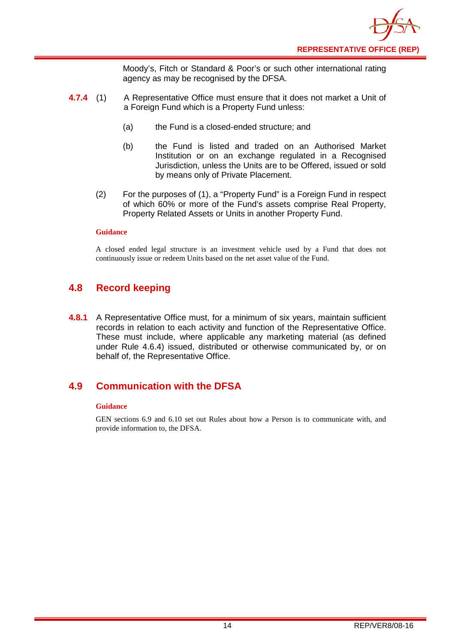

Moody's, Fitch or Standard & Poor's or such other international rating agency as may be recognised by the DFSA.

- **4.7.4** (1) A Representative Office must ensure that it does not market a Unit of a Foreign Fund which is a Property Fund unless:
	- (a) the Fund is a closed-ended structure; and
	- (b) the Fund is listed and traded on an Authorised Market Institution or on an exchange regulated in a Recognised Jurisdiction, unless the Units are to be Offered, issued or sold by means only of Private Placement.
	- (2) For the purposes of (1), a "Property Fund" is a Foreign Fund in respect of which 60% or more of the Fund's assets comprise Real Property, Property Related Assets or Units in another Property Fund.

#### **Guidance**

A closed ended legal structure is an investment vehicle used by a Fund that does not continuously issue or redeem Units based on the net asset value of the Fund.

### <span id="page-14-0"></span>**4.8 Record keeping**

**4.8.1** A Representative Office must, for a minimum of six years, maintain sufficient records in relation to each activity and function of the Representative Office. These must include, where applicable any marketing material (as defined under Rule 4.6.4) issued, distributed or otherwise communicated by, or on behalf of, the Representative Office.

### <span id="page-14-1"></span>**4.9 Communication with the DFSA**

#### **Guidance**

GEN sections 6.9 and 6.10 set out Rules about how a Person is to communicate with, and provide information to, the DFSA.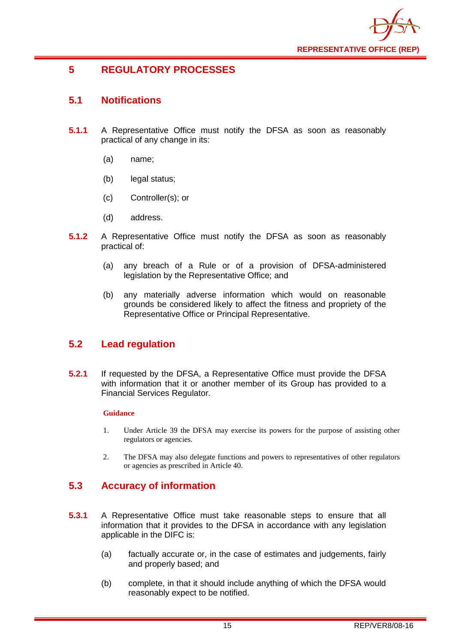

## <span id="page-15-0"></span>**5 REGULATORY PROCESSES**

## <span id="page-15-1"></span>**5.1 Notifications**

- **5.1.1** A Representative Office must notify the DFSA as soon as reasonably practical of any change in its:
	- (a) name;
	- (b) legal status;
	- (c) Controller(s); or
	- (d) address.
- **5.1.2** A Representative Office must notify the DFSA as soon as reasonably practical of:
	- (a) any breach of a Rule or of a provision of DFSA-administered legislation by the Representative Office; and
	- (b) any materially adverse information which would on reasonable grounds be considered likely to affect the fitness and propriety of the Representative Office or Principal Representative.

## <span id="page-15-2"></span>**5.2 Lead regulation**

**5.2.1** If requested by the DFSA, a Representative Office must provide the DFSA with information that it or another member of its Group has provided to a Financial Services Regulator.

#### **Guidance**

- 1. Under Article 39 the DFSA may exercise its powers for the purpose of assisting other regulators or agencies.
- 2. The DFSA may also delegate functions and powers to representatives of other regulators or agencies as prescribed in Article 40.

## <span id="page-15-3"></span>**5.3 Accuracy of information**

- **5.3.1** A Representative Office must take reasonable steps to ensure that all information that it provides to the DFSA in accordance with any legislation applicable in the DIFC is:
	- (a) factually accurate or, in the case of estimates and judgements, fairly and properly based; and
	- (b) complete, in that it should include anything of which the DFSA would reasonably expect to be notified.